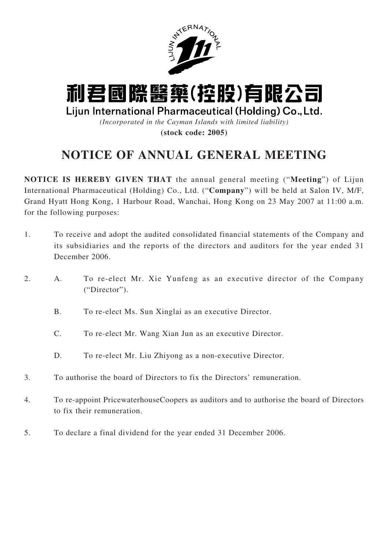

# 利君國際醫藥(控股)有限公司

Lijun International Pharmaceutical (Holding) Co., Ltd.

*(Incorporated in the Cayman Islands with limited liability)*

**(stock code: 2005)**

# **NOTICE OF ANNUAL GENERAL MEETING**

**NOTICE IS HEREBY GIVEN THAT** the annual general meeting ("**Meeting**") of Lijun International Pharmaceutical (Holding) Co., Ltd. ("**Company**") will be held at Salon IV, M/F, Grand Hyatt Hong Kong, 1 Harbour Road, Wanchai, Hong Kong on 23 May 2007 at 11:00 a.m. for the following purposes:

- 1. To receive and adopt the audited consolidated financial statements of the Company and its subsidiaries and the reports of the directors and auditors for the year ended 31 December 2006.
- 2. A. To re-elect Mr. Xie Yunfeng as an executive director of the Company ("Director").
	- B. To re-elect Ms. Sun Xinglai as an executive Director.
	- C. To re-elect Mr. Wang Xian Jun as an executive Director.
	- D. To re-elect Mr. Liu Zhiyong as a non-executive Director.
- 3. To authorise the board of Directors to fix the Directors' remuneration.
- 4. To re-appoint PricewaterhouseCoopers as auditors and to authorise the board of Directors to fix their remuneration.
- 5. To declare a final dividend for the year ended 31 December 2006.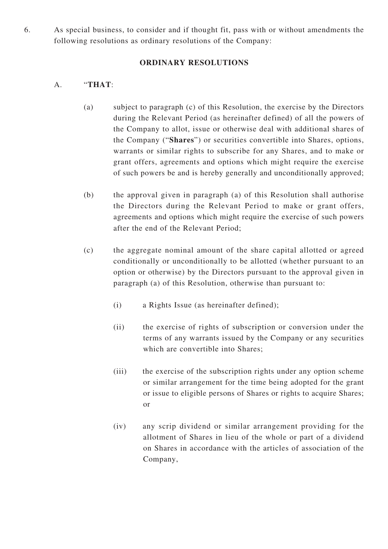6. As special business, to consider and if thought fit, pass with or without amendments the following resolutions as ordinary resolutions of the Company:

### **ORDINARY RESOLUTIONS**

## A. "**THAT**:

- (a) subject to paragraph (c) of this Resolution, the exercise by the Directors during the Relevant Period (as hereinafter defined) of all the powers of the Company to allot, issue or otherwise deal with additional shares of the Company ("**Shares**") or securities convertible into Shares, options, warrants or similar rights to subscribe for any Shares, and to make or grant offers, agreements and options which might require the exercise of such powers be and is hereby generally and unconditionally approved;
- (b) the approval given in paragraph (a) of this Resolution shall authorise the Directors during the Relevant Period to make or grant offers, agreements and options which might require the exercise of such powers after the end of the Relevant Period;
- (c) the aggregate nominal amount of the share capital allotted or agreed conditionally or unconditionally to be allotted (whether pursuant to an option or otherwise) by the Directors pursuant to the approval given in paragraph (a) of this Resolution, otherwise than pursuant to:
	- (i) a Rights Issue (as hereinafter defined);
	- (ii) the exercise of rights of subscription or conversion under the terms of any warrants issued by the Company or any securities which are convertible into Shares;
	- (iii) the exercise of the subscription rights under any option scheme or similar arrangement for the time being adopted for the grant or issue to eligible persons of Shares or rights to acquire Shares; or
	- (iv) any scrip dividend or similar arrangement providing for the allotment of Shares in lieu of the whole or part of a dividend on Shares in accordance with the articles of association of the Company,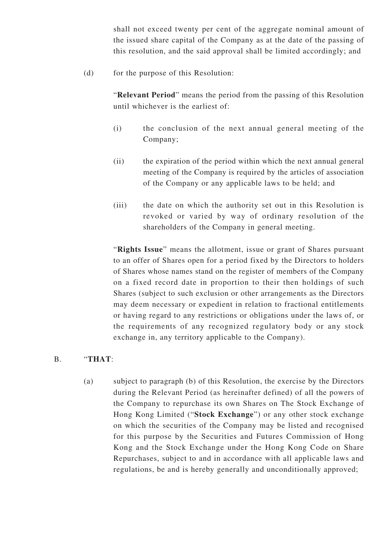shall not exceed twenty per cent of the aggregate nominal amount of the issued share capital of the Company as at the date of the passing of this resolution, and the said approval shall be limited accordingly; and

(d) for the purpose of this Resolution:

"**Relevant Period**" means the period from the passing of this Resolution until whichever is the earliest of:

- (i) the conclusion of the next annual general meeting of the Company;
- (ii) the expiration of the period within which the next annual general meeting of the Company is required by the articles of association of the Company or any applicable laws to be held; and
- (iii) the date on which the authority set out in this Resolution is revoked or varied by way of ordinary resolution of the shareholders of the Company in general meeting.

"**Rights Issue**" means the allotment, issue or grant of Shares pursuant to an offer of Shares open for a period fixed by the Directors to holders of Shares whose names stand on the register of members of the Company on a fixed record date in proportion to their then holdings of such Shares (subject to such exclusion or other arrangements as the Directors may deem necessary or expedient in relation to fractional entitlements or having regard to any restrictions or obligations under the laws of, or the requirements of any recognized regulatory body or any stock exchange in, any territory applicable to the Company).

#### B. "**THAT**:

(a) subject to paragraph (b) of this Resolution, the exercise by the Directors during the Relevant Period (as hereinafter defined) of all the powers of the Company to repurchase its own Shares on The Stock Exchange of Hong Kong Limited ("**Stock Exchange**") or any other stock exchange on which the securities of the Company may be listed and recognised for this purpose by the Securities and Futures Commission of Hong Kong and the Stock Exchange under the Hong Kong Code on Share Repurchases, subject to and in accordance with all applicable laws and regulations, be and is hereby generally and unconditionally approved;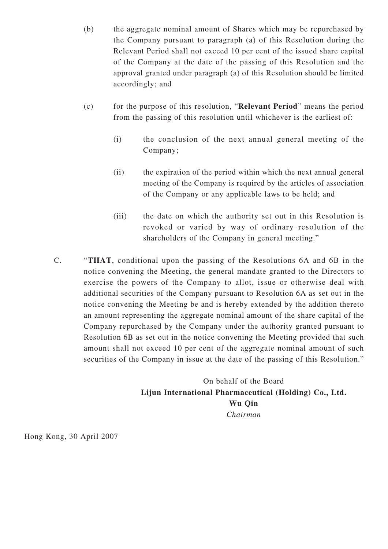- (b) the aggregate nominal amount of Shares which may be repurchased by the Company pursuant to paragraph (a) of this Resolution during the Relevant Period shall not exceed 10 per cent of the issued share capital of the Company at the date of the passing of this Resolution and the approval granted under paragraph (a) of this Resolution should be limited accordingly; and
- (c) for the purpose of this resolution, "**Relevant Period**" means the period from the passing of this resolution until whichever is the earliest of:
	- (i) the conclusion of the next annual general meeting of the Company;
	- (ii) the expiration of the period within which the next annual general meeting of the Company is required by the articles of association of the Company or any applicable laws to be held; and
	- (iii) the date on which the authority set out in this Resolution is revoked or varied by way of ordinary resolution of the shareholders of the Company in general meeting."
- C. "**THAT**, conditional upon the passing of the Resolutions 6A and 6B in the notice convening the Meeting, the general mandate granted to the Directors to exercise the powers of the Company to allot, issue or otherwise deal with additional securities of the Company pursuant to Resolution 6A as set out in the notice convening the Meeting be and is hereby extended by the addition thereto an amount representing the aggregate nominal amount of the share capital of the Company repurchased by the Company under the authority granted pursuant to Resolution 6B as set out in the notice convening the Meeting provided that such amount shall not exceed 10 per cent of the aggregate nominal amount of such securities of the Company in issue at the date of the passing of this Resolution."

On behalf of the Board **Lijun International Pharmaceutical (Holding) Co., Ltd. Wu Qin** *Chairman*

Hong Kong, 30 April 2007